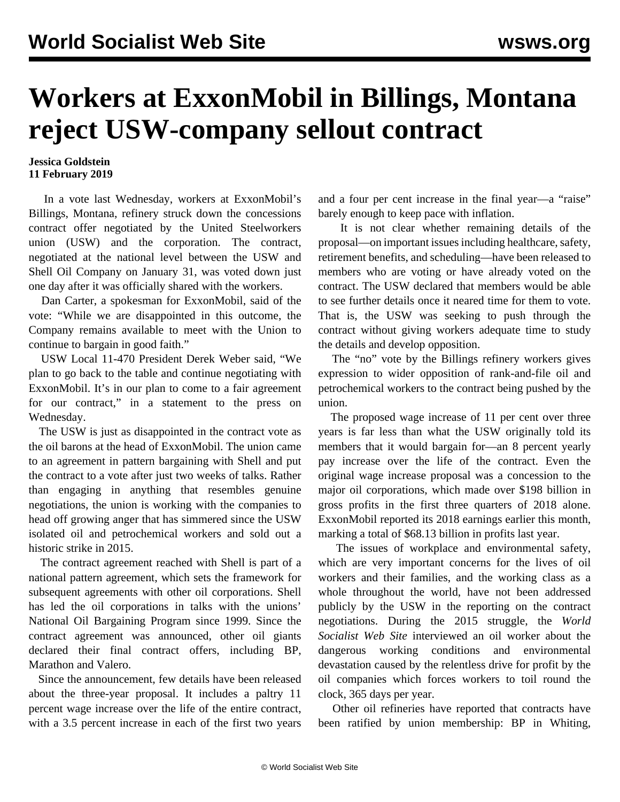## **Workers at ExxonMobil in Billings, Montana reject USW-company sellout contract**

## **Jessica Goldstein 11 February 2019**

 In a vote last Wednesday, workers at ExxonMobil's Billings, Montana, refinery struck down the concessions contract offer negotiated by the United Steelworkers union (USW) and the corporation. The contract, negotiated at the national level between the USW and Shell Oil Company on January 31, was voted down just one day after it was officially shared with the workers.

 Dan Carter, a spokesman for ExxonMobil, said of the vote: "While we are disappointed in this outcome, the Company remains available to meet with the Union to continue to bargain in good faith."

 USW Local 11-470 President Derek Weber said, "We plan to go back to the table and continue negotiating with ExxonMobil. It's in our plan to come to a fair agreement for our contract," in a statement to the press on Wednesday.

 The USW is just as disappointed in the contract vote as the oil barons at the head of ExxonMobil. The union came to an agreement in pattern bargaining with Shell and put the contract to a vote after just two weeks of talks. Rather than engaging in anything that resembles genuine negotiations, the union is working with the companies to head off growing anger that has simmered since the USW isolated oil and petrochemical workers and sold out a historic strike in 2015.

 The contract agreement reached with Shell is part of a national pattern agreement, which sets the framework for subsequent agreements with other oil corporations. Shell has led the oil corporations in talks with the unions' National Oil Bargaining Program since 1999. Since the contract agreement was announced, other oil giants declared their final contract offers, including BP, Marathon and Valero.

 Since the announcement, few details have been released about the three-year proposal. It includes a paltry 11 percent wage increase over the life of the entire contract, with a 3.5 percent increase in each of the first two years

and a four per cent increase in the final year—a "raise" barely enough to keep pace with inflation.

 It is not clear whether remaining details of the proposal—on important issues including healthcare, safety, retirement benefits, and scheduling—have been released to members who are voting or have already voted on the contract. The USW declared that members would be able to see further details once it neared time for them to vote. That is, the USW was seeking to push through the contract without giving workers adequate time to study the details and develop opposition.

 The "no" vote by the Billings refinery workers gives expression to wider opposition of rank-and-file oil and petrochemical workers to the contract being pushed by the union.

 The proposed wage increase of 11 per cent over three years is far less than what the USW originally told its members that it would bargain for—an 8 percent yearly pay increase over the life of the contract. Even the original wage increase proposal was a concession to the major oil corporations, which made over \$198 billion in gross profits in the first three quarters of 2018 alone. ExxonMobil reported its 2018 earnings earlier this month, marking a total of \$68.13 billion in profits last year.

 The issues of workplace and environmental safety, which are very important concerns for the lives of oil workers and their families, and the working class as a whole throughout the world, have not been addressed publicly by the USW in the reporting on the contract negotiations. During the 2015 struggle, the *World Socialist Web Site* [interviewed](/en/articles/2015/03/05/oilv-m05.html) an oil worker about the dangerous working conditions and environmental devastation caused by the relentless drive for profit by the oil companies which forces workers to toil round the clock, 365 days per year.

 Other oil refineries have reported that contracts have been ratified by union membership: BP in Whiting,